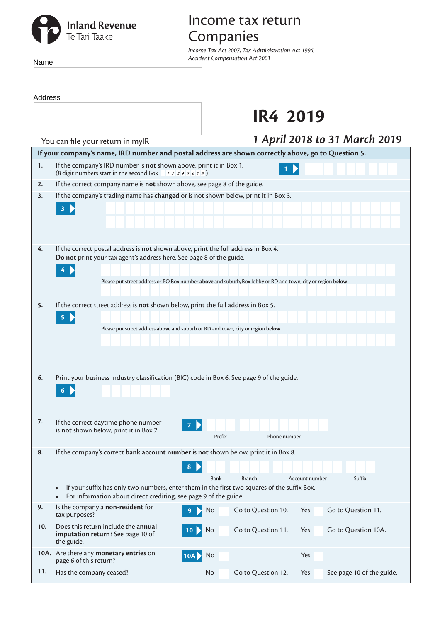# **Inland Revenue**<br>Te Tari Taake

Name

## Income tax return Companies

*Income Tax Act 2007, Tax Administration Act 1994, Accident Compensation Act 2001*

| Address |                                                                                                                                                                                                                                                                          |                                                                                                             |  |  |  |  |  |  |  |
|---------|--------------------------------------------------------------------------------------------------------------------------------------------------------------------------------------------------------------------------------------------------------------------------|-------------------------------------------------------------------------------------------------------------|--|--|--|--|--|--|--|
|         |                                                                                                                                                                                                                                                                          | <b>IR4 2019</b>                                                                                             |  |  |  |  |  |  |  |
|         | You can file your return in mylR                                                                                                                                                                                                                                         | 1 April 2018 to 31 March 2019                                                                               |  |  |  |  |  |  |  |
|         |                                                                                                                                                                                                                                                                          | If your company's name, IRD number and postal address are shown correctly above, go to Question 5.          |  |  |  |  |  |  |  |
| 1.      | If the company's IRD number is not shown above, print it in Box 1.<br>(8 digit numbers start in the second Box $\rightarrow$ 2 3 4 5 6 7 8)                                                                                                                              |                                                                                                             |  |  |  |  |  |  |  |
| 2.      | If the correct company name is not shown above, see page 8 of the guide.                                                                                                                                                                                                 |                                                                                                             |  |  |  |  |  |  |  |
| 3.      | If the company's trading name has changed or is not shown below, print it in Box 3.<br>$\overline{\mathbf{3}}$                                                                                                                                                           |                                                                                                             |  |  |  |  |  |  |  |
| 4.      | If the correct postal address is not shown above, print the full address in Box 4.<br>Do not print your tax agent's address here. See page 8 of the guide.                                                                                                               | Please put street address or PO Box number above and suburb, Box lobby or RD and town, city or region below |  |  |  |  |  |  |  |
| 5.      | If the correct street address is not shown below, print the full address in Box 5.<br>5<br>Please put street address above and suburb or RD and town, city or region below                                                                                               |                                                                                                             |  |  |  |  |  |  |  |
| 6.      | Print your business industry classification (BIC) code in Box 6. See page 9 of the guide.                                                                                                                                                                                |                                                                                                             |  |  |  |  |  |  |  |
| 7.      | If the correct daytime phone number<br>is not shown below, print it in Box 7.                                                                                                                                                                                            | Prefix<br>Phone number                                                                                      |  |  |  |  |  |  |  |
| 8.      | If the company's correct bank account number is not shown below, print it in Box 8.<br>$8\phantom{1}$<br>If your suffix has only two numbers, enter them in the first two squares of the suffix Box.<br>For information about direct crediting, see page 9 of the guide. | <b>Bank</b><br><b>Branch</b><br>Account number<br>Suffix                                                    |  |  |  |  |  |  |  |
| 9.      | Is the company a non-resident for<br>9<br>tax purposes?                                                                                                                                                                                                                  | Go to Question 10.<br>Go to Question 11.<br>No<br>Yes                                                       |  |  |  |  |  |  |  |
| 10.     | Does this return include the annual<br>10<br>imputation return? See page 10 of<br>the guide.                                                                                                                                                                             | Go to Question 11.<br>Go to Question 10A.<br>No<br>Yes                                                      |  |  |  |  |  |  |  |
|         | 10A. Are there any monetary entries on<br><b>10AD</b><br>page 6 of this return?                                                                                                                                                                                          | Yes<br>No                                                                                                   |  |  |  |  |  |  |  |
| 11.     | Has the company ceased?                                                                                                                                                                                                                                                  | Go to Question 12.<br>See page 10 of the guide.<br><b>No</b><br>Yes                                         |  |  |  |  |  |  |  |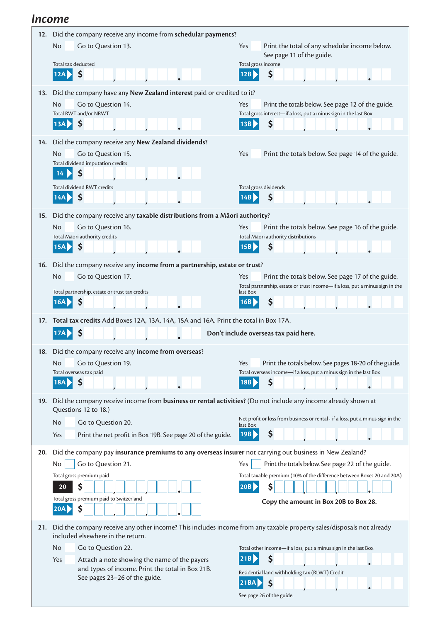#### *Income*

|     | Did the company receive any income from schedular payments?                                                                                               |                                                                                           |  |  |  |  |  |  |
|-----|-----------------------------------------------------------------------------------------------------------------------------------------------------------|-------------------------------------------------------------------------------------------|--|--|--|--|--|--|
|     | <b>No</b><br>Go to Question 13.                                                                                                                           | Print the total of any schedular income below.<br><b>Yes</b><br>See page 11 of the guide. |  |  |  |  |  |  |
|     | Total tax deducted                                                                                                                                        | Total gross income                                                                        |  |  |  |  |  |  |
|     | \$                                                                                                                                                        | \$<br>12B                                                                                 |  |  |  |  |  |  |
| 13. | Did the company have any New Zealand interest paid or credited to it?                                                                                     |                                                                                           |  |  |  |  |  |  |
|     | No<br>Go to Question 14.                                                                                                                                  | Yes<br>Print the totals below. See page 12 of the guide.                                  |  |  |  |  |  |  |
|     | Total RWT and/or NRWT                                                                                                                                     | Total gross interest-if a loss, put a minus sign in the last Box                          |  |  |  |  |  |  |
|     | \$<br>13AD                                                                                                                                                | \$<br>13B                                                                                 |  |  |  |  |  |  |
| 14. | Did the company receive any New Zealand dividends?                                                                                                        |                                                                                           |  |  |  |  |  |  |
|     | No<br>Go to Question 15.                                                                                                                                  | Yes<br>Print the totals below. See page 14 of the guide.                                  |  |  |  |  |  |  |
|     | Total dividend imputation credits                                                                                                                         |                                                                                           |  |  |  |  |  |  |
|     | \$<br>14                                                                                                                                                  |                                                                                           |  |  |  |  |  |  |
|     | Total dividend RWT credits                                                                                                                                | Total gross dividends                                                                     |  |  |  |  |  |  |
|     | \$                                                                                                                                                        | \$<br><b>14B</b>                                                                          |  |  |  |  |  |  |
| 15. | Did the company receive any taxable distributions from a Māori authority?                                                                                 |                                                                                           |  |  |  |  |  |  |
|     | No<br>Go to Question 16.                                                                                                                                  | Yes<br>Print the totals below. See page 16 of the guide.                                  |  |  |  |  |  |  |
|     | Total Māori authority credits                                                                                                                             | Total Māori authority distributions                                                       |  |  |  |  |  |  |
|     | $\mathsf{\mathsf{S}}$<br>15A                                                                                                                              | \$<br>15B                                                                                 |  |  |  |  |  |  |
| 16. | Did the company receive any income from a partnership, estate or trust?                                                                                   |                                                                                           |  |  |  |  |  |  |
|     | <b>No</b><br>Go to Question 17.                                                                                                                           | Print the totals below. See page 17 of the guide.<br><b>Yes</b>                           |  |  |  |  |  |  |
|     |                                                                                                                                                           | Total partnership, estate or trust income-if a loss, put a minus sign in the<br>last Box  |  |  |  |  |  |  |
|     | Total partnership, estate or trust tax credits<br>16A                                                                                                     | \$<br>16B                                                                                 |  |  |  |  |  |  |
|     |                                                                                                                                                           |                                                                                           |  |  |  |  |  |  |
| 17. | Total tax credits Add Boxes 12A, 13A, 14A, 15A and 16A. Print the total in Box 17A.                                                                       |                                                                                           |  |  |  |  |  |  |
|     |                                                                                                                                                           |                                                                                           |  |  |  |  |  |  |
|     | Ś<br>17A                                                                                                                                                  | Don't include overseas tax paid here.                                                     |  |  |  |  |  |  |
|     | 18. Did the company receive any income from overseas?                                                                                                     |                                                                                           |  |  |  |  |  |  |
|     | No<br>Go to Question 19.                                                                                                                                  | Print the totals below. See pages 18-20 of the guide.<br>Yes                              |  |  |  |  |  |  |
|     | Total overseas tax paid                                                                                                                                   | Total overseas income-if a loss, put a minus sign in the last Box                         |  |  |  |  |  |  |
|     | 18A<br>Ş                                                                                                                                                  | Ş<br>18B                                                                                  |  |  |  |  |  |  |
| 19. | Did the company receive income from business or rental activities? (Do not include any income already shown at<br>Questions 12 to 18.)                    |                                                                                           |  |  |  |  |  |  |
|     | No<br>Go to Question 20.                                                                                                                                  | Net profit or loss from business or rental - if a loss, put a minus sign in the           |  |  |  |  |  |  |
|     | Print the net profit in Box 19B. See page 20 of the guide.<br>Yes                                                                                         | last Box<br>\$<br>19B                                                                     |  |  |  |  |  |  |
|     |                                                                                                                                                           |                                                                                           |  |  |  |  |  |  |
| 20. | Did the company pay insurance premiums to any overseas insurer not carrying out business in New Zealand?                                                  |                                                                                           |  |  |  |  |  |  |
|     | Go to Question 21.<br>No                                                                                                                                  | Print the totals below. See page 22 of the guide.<br>Yes                                  |  |  |  |  |  |  |
|     | Total gross premium paid<br>20                                                                                                                            | Total taxable premium (10% of the difference between Boxes 20 and 20A)<br>20B             |  |  |  |  |  |  |
|     | \$<br>Total gross premium paid to Switzerland                                                                                                             | \$                                                                                        |  |  |  |  |  |  |
|     | \$<br>20AD                                                                                                                                                | Copy the amount in Box 20B to Box 28.                                                     |  |  |  |  |  |  |
|     |                                                                                                                                                           |                                                                                           |  |  |  |  |  |  |
| 21. | Did the company receive any other income? This includes income from any taxable property sales/disposals not already<br>included elsewhere in the return. |                                                                                           |  |  |  |  |  |  |
|     | No<br>Go to Question 22.                                                                                                                                  | Total other income-if a loss, put a minus sign in the last Box                            |  |  |  |  |  |  |
|     | Attach a note showing the name of the payers<br>Yes                                                                                                       | \$<br>21B                                                                                 |  |  |  |  |  |  |
|     | and types of income. Print the total in Box 21B.                                                                                                          | Residential land withholding tax (RLWT) Credit                                            |  |  |  |  |  |  |
|     | See pages 23-26 of the guide.                                                                                                                             | 21BA<br>$\boldsymbol{\zeta}$                                                              |  |  |  |  |  |  |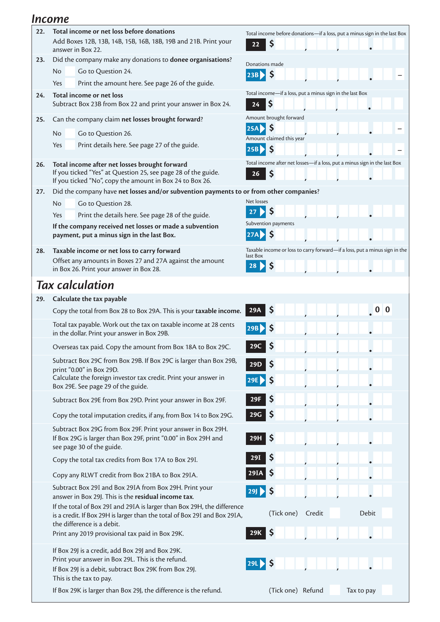#### *Income*

| 22. | Total income or net loss before donations<br>Add Boxes 12B, 13B, 14B, 15B, 16B, 18B, 19B and 21B. Print your                                                                       | Total income before donations-if a loss, put a minus sign in the last Box              |  |  |  |  |  |  |
|-----|------------------------------------------------------------------------------------------------------------------------------------------------------------------------------------|----------------------------------------------------------------------------------------|--|--|--|--|--|--|
|     | \$<br>22<br>answer in Box 22.                                                                                                                                                      |                                                                                        |  |  |  |  |  |  |
| 23. | Did the company make any donations to donee organisations?                                                                                                                         | Donations made                                                                         |  |  |  |  |  |  |
|     | Go to Question 24.<br>No.<br>Yes<br>Print the amount here. See page 26 of the guide.                                                                                               | $\mathsf{\$}$<br>23B                                                                   |  |  |  |  |  |  |
| 24. | Total income or net loss                                                                                                                                                           | Total income-if a loss, put a minus sign in the last Box                               |  |  |  |  |  |  |
|     | Subtract Box 23B from Box 22 and print your answer in Box 24.                                                                                                                      | $\varsigma$<br>24                                                                      |  |  |  |  |  |  |
| 25. | Can the company claim net losses brought forward?                                                                                                                                  | Amount brought forward                                                                 |  |  |  |  |  |  |
|     | Go to Question 26.<br>No.                                                                                                                                                          | \$<br><b>25A</b><br>Amount claimed this year                                           |  |  |  |  |  |  |
|     | Print details here. See page 27 of the guide.<br>Yes                                                                                                                               | 25B > 5                                                                                |  |  |  |  |  |  |
| 26. | Total income after net losses brought forward<br>If you ticked "Yes" at Question 25, see page 28 of the guide.                                                                     | Total income after net losses-if a loss, put a minus sign in the last Box<br>\$<br>26  |  |  |  |  |  |  |
|     | If you ticked "No", copy the amount in Box 24 to Box 26.<br>Did the company have net losses and/or subvention payments to or from other companies?                                 |                                                                                        |  |  |  |  |  |  |
| 27. | Go to Question 28.<br>No.                                                                                                                                                          | Net losses                                                                             |  |  |  |  |  |  |
|     | Print the details here. See page 28 of the guide.<br>Yes                                                                                                                           | 27                                                                                     |  |  |  |  |  |  |
|     | If the company received net losses or made a subvention                                                                                                                            | Subvention payments                                                                    |  |  |  |  |  |  |
|     | payment, put a minus sign in the last Box.                                                                                                                                         | $\mathsf{\mathsf{S}}$<br>27A                                                           |  |  |  |  |  |  |
| 28. | Taxable income or net loss to carry forward                                                                                                                                        | Taxable income or loss to carry forward-if a loss, put a minus sign in the<br>last Box |  |  |  |  |  |  |
|     | Offset any amounts in Boxes 27 and 27A against the amount<br>in Box 26. Print your answer in Box 28.                                                                               | 28<br>\$                                                                               |  |  |  |  |  |  |
|     | <b>Tax calculation</b>                                                                                                                                                             |                                                                                        |  |  |  |  |  |  |
| 29. | Calculate the tax payable                                                                                                                                                          |                                                                                        |  |  |  |  |  |  |
|     | Copy the total from Box 28 to Box 29A. This is your taxable income.                                                                                                                | 0 <sub>0</sub><br>29A                                                                  |  |  |  |  |  |  |
|     | Total tax payable. Work out the tax on taxable income at 28 cents<br>in the dollar. Print your answer in Box 29B.                                                                  | 29B                                                                                    |  |  |  |  |  |  |
|     | Overseas tax paid. Copy the amount from Box 18A to Box 29C.                                                                                                                        |                                                                                        |  |  |  |  |  |  |
|     | Subtract Box 29C from Box 29B. If Box 29C is larger than Box 29B,                                                                                                                  | \$<br><b>29D</b>                                                                       |  |  |  |  |  |  |
|     | print "0.00" in Box 29D.<br>Calculate the foreign investor tax credit. Print your answer in                                                                                        | 29E                                                                                    |  |  |  |  |  |  |
|     | Box 29E. See page 29 of the guide.                                                                                                                                                 |                                                                                        |  |  |  |  |  |  |
|     | Subtract Box 29E from Box 29D. Print your answer in Box 29F.                                                                                                                       | Ş<br>29F                                                                               |  |  |  |  |  |  |
|     | Copy the total imputation credits, if any, from Box 14 to Box 29G.                                                                                                                 | \$<br>29G                                                                              |  |  |  |  |  |  |
|     | Subtract Box 29G from Box 29F. Print your answer in Box 29H.<br>If Box 29G is larger than Box 29F, print "0.00" in Box 29H and<br>see page 30 of the guide.                        | \$<br>29H                                                                              |  |  |  |  |  |  |
|     | Copy the total tax credits from Box 17A to Box 29I.                                                                                                                                | \$<br>29I                                                                              |  |  |  |  |  |  |
|     | Copy any RLWT credit from Box 21BA to Box 29IA.                                                                                                                                    | $\mathsf{\$}$<br>29IA                                                                  |  |  |  |  |  |  |
|     | Subtract Box 29I and Box 29IA from Box 29H. Print your<br>answer in Box 29J. This is the residual income tax.                                                                      | \$<br>29                                                                               |  |  |  |  |  |  |
|     | If the total of Box 29I and 29IA is larger than Box 29H, the difference<br>is a credit. If Box 29H is larger than the total of Box 29I and Box 29IA,<br>the difference is a debit. | Debit<br>(Tick one)<br>Credit                                                          |  |  |  |  |  |  |
|     | Print any 2019 provisional tax paid in Box 29K.                                                                                                                                    | \$<br><b>29K</b>                                                                       |  |  |  |  |  |  |
|     | If Box 29J is a credit, add Box 29J and Box 29K.                                                                                                                                   |                                                                                        |  |  |  |  |  |  |
|     | Print your answer in Box 29L. This is the refund.<br>If Box 29J is a debit, subtract Box 29K from Box 29J.                                                                         | 29L<br>-\$                                                                             |  |  |  |  |  |  |
|     | This is the tax to pay.<br>If Box 29K is larger than Box 29J, the difference is the refund.                                                                                        | (Tick one) Refund<br>Tax to pay                                                        |  |  |  |  |  |  |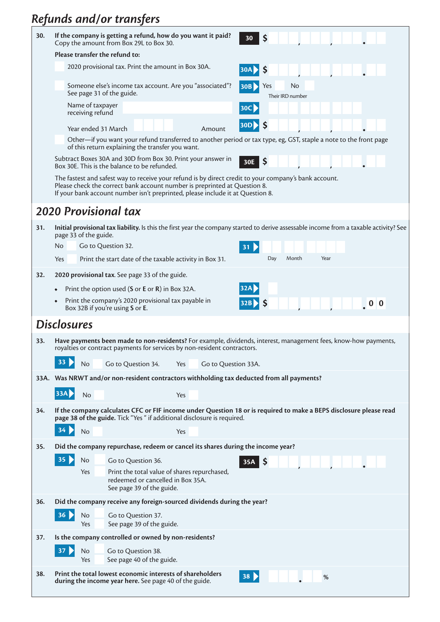# *Refunds and/or transfers*

| 30. | If the company is getting a refund, how do you want it paid?<br>30<br><b>S</b><br>Copy the amount from Box 29L to Box 30.                                                                                                                                            |  |  |  |  |  |  |
|-----|----------------------------------------------------------------------------------------------------------------------------------------------------------------------------------------------------------------------------------------------------------------------|--|--|--|--|--|--|
|     | Please transfer the refund to:                                                                                                                                                                                                                                       |  |  |  |  |  |  |
|     | 2020 provisional tax. Print the amount in Box 30A.<br>30A                                                                                                                                                                                                            |  |  |  |  |  |  |
|     | Someone else's income tax account. Are you "associated"?<br>No<br>Yes<br>30B<br>See page 31 of the guide.<br>Their IRD number                                                                                                                                        |  |  |  |  |  |  |
|     | Name of taxpayer<br>30C)<br>receiving refund                                                                                                                                                                                                                         |  |  |  |  |  |  |
|     | 30D <b>D</b><br>-\$<br>Year ended 31 March<br>Amount                                                                                                                                                                                                                 |  |  |  |  |  |  |
|     | Other—if you want your refund transferred to another period or tax type, eg, GST, staple a note to the front page<br>of this return explaining the transfer you want.                                                                                                |  |  |  |  |  |  |
|     | Subtract Boxes 30A and 30D from Box 30. Print your answer in<br>$30E$ \$<br>Box 30E. This is the balance to be refunded.                                                                                                                                             |  |  |  |  |  |  |
|     | The fastest and safest way to receive your refund is by direct credit to your company's bank account.<br>Please check the correct bank account number is preprinted at Question 8.<br>If your bank account number isn't preprinted, please include it at Question 8. |  |  |  |  |  |  |
|     | <b>2020 Provisional tax</b>                                                                                                                                                                                                                                          |  |  |  |  |  |  |
| 31. | Initial provisional tax liability. Is this the first year the company started to derive assessable income from a taxable activity? See<br>page 33 of the guide.                                                                                                      |  |  |  |  |  |  |
|     | No.<br>Go to Question 32.                                                                                                                                                                                                                                            |  |  |  |  |  |  |
|     | Year<br>Day<br>Month<br>Yes<br>Print the start date of the taxable activity in Box 31.                                                                                                                                                                               |  |  |  |  |  |  |
| 32. | 2020 provisional tax. See page 33 of the guide.                                                                                                                                                                                                                      |  |  |  |  |  |  |
|     | <b>32AI</b><br>Print the option used (S or E or R) in Box 32A.                                                                                                                                                                                                       |  |  |  |  |  |  |
|     | Print the company's 2020 provisional tax payable in<br>32B > S                                                                                                                                                                                                       |  |  |  |  |  |  |
|     | Box 32B if you're using S or E.                                                                                                                                                                                                                                      |  |  |  |  |  |  |
|     | <b>Disclosures</b>                                                                                                                                                                                                                                                   |  |  |  |  |  |  |
| 33. | Have payments been made to non-residents? For example, dividends, interest, management fees, know-how payments,<br>royalties or contract payments for services by non-resident contractors.                                                                          |  |  |  |  |  |  |
|     | 33<br>Go to Question 34.<br>No<br>Go to Question 33A.<br>Yes                                                                                                                                                                                                         |  |  |  |  |  |  |
|     | 33A. Was NRWT and/or non-resident contractors withholding tax deducted from all payments?                                                                                                                                                                            |  |  |  |  |  |  |
|     | 33A<br>No<br>Yes                                                                                                                                                                                                                                                     |  |  |  |  |  |  |
| 34. | If the company calculates CFC or FIF income under Question 18 or is required to make a BEPS disclosure please read                                                                                                                                                   |  |  |  |  |  |  |
|     | page 38 of the guide. Tick "Yes " if additional disclosure is required.<br>34<br>No<br>Yes                                                                                                                                                                           |  |  |  |  |  |  |
| 35. | Did the company repurchase, redeem or cancel its shares during the income year?                                                                                                                                                                                      |  |  |  |  |  |  |
|     | 35 <sub>o</sub><br>No                                                                                                                                                                                                                                                |  |  |  |  |  |  |
|     | Go to Question 36.<br>-\$<br>35A<br>Print the total value of shares repurchased,<br>Yes                                                                                                                                                                              |  |  |  |  |  |  |
|     | redeemed or cancelled in Box 35A.<br>See page 39 of the guide.                                                                                                                                                                                                       |  |  |  |  |  |  |
| 36. | Did the company receive any foreign-sourced dividends during the year?                                                                                                                                                                                               |  |  |  |  |  |  |
|     | 36 <sub>1</sub><br>No<br>Go to Question 37.                                                                                                                                                                                                                          |  |  |  |  |  |  |
|     | See page 39 of the guide.<br>Yes                                                                                                                                                                                                                                     |  |  |  |  |  |  |
| 37. | Is the company controlled or owned by non-residents?                                                                                                                                                                                                                 |  |  |  |  |  |  |
|     | 37 <sub>1</sub><br>No<br>Go to Question 38.                                                                                                                                                                                                                          |  |  |  |  |  |  |
|     | See page 40 of the guide.<br>Yes                                                                                                                                                                                                                                     |  |  |  |  |  |  |
| 38. | Print the total lowest economic interests of shareholders<br>38 <sub>b</sub><br>%<br>during the income year here. See page 40 of the guide.                                                                                                                          |  |  |  |  |  |  |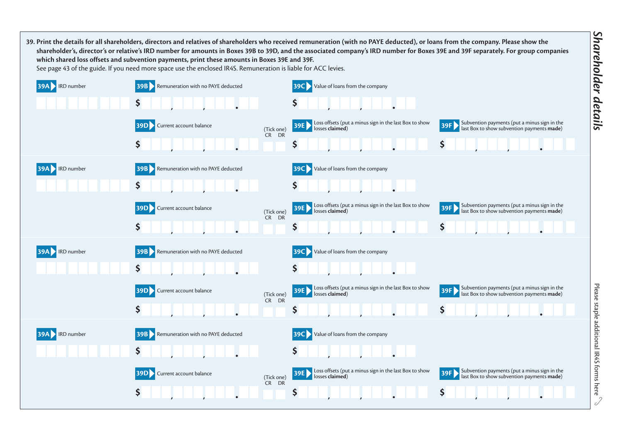